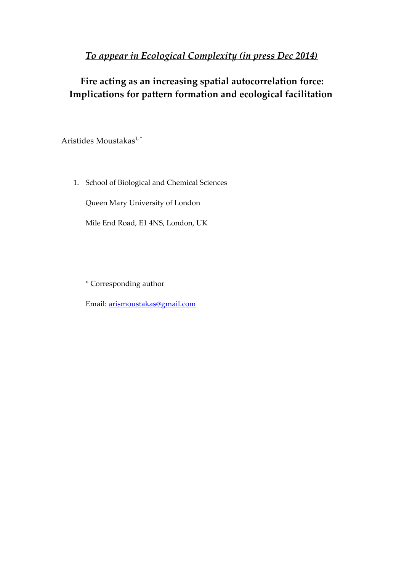## *To appear in Ecological Complexity (in press Dec 2014)*

# **Fire acting as an increasing spatial autocorrelation force: Implications for pattern formation and ecological facilitation**

Aristides Moustakas<sup>1,\*</sup>

1. School of Biological and Chemical Sciences

Queen Mary University of London

Mile End Road, E1 4NS, London, UK

\* Corresponding author

Email: [arismoustakas@gmail.com](mailto:arismoustakas@gmail.com)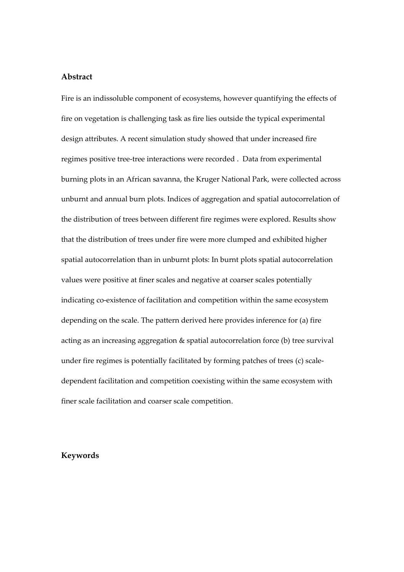## **Abstract**

Fire is an indissoluble component of ecosystems, however quantifying the effects of fire on vegetation is challenging task as fire lies outside the typical experimental design attributes. A recent simulation study showed that under increased fire regimes positive tree-tree interactions were recorded . Data from experimental burning plots in an African savanna, the Kruger National Park, were collected across unburnt and annual burn plots. Indices of aggregation and spatial autocorrelation of the distribution of trees between different fire regimes were explored. Results show that the distribution of trees under fire were more clumped and exhibited higher spatial autocorrelation than in unburnt plots: In burnt plots spatial autocorrelation values were positive at finer scales and negative at coarser scales potentially indicating co-existence of facilitation and competition within the same ecosystem depending on the scale. The pattern derived here provides inference for (a) fire acting as an increasing aggregation & spatial autocorrelation force (b) tree survival under fire regimes is potentially facilitated by forming patches of trees (c) scaledependent facilitation and competition coexisting within the same ecosystem with finer scale facilitation and coarser scale competition.

## **Keywords**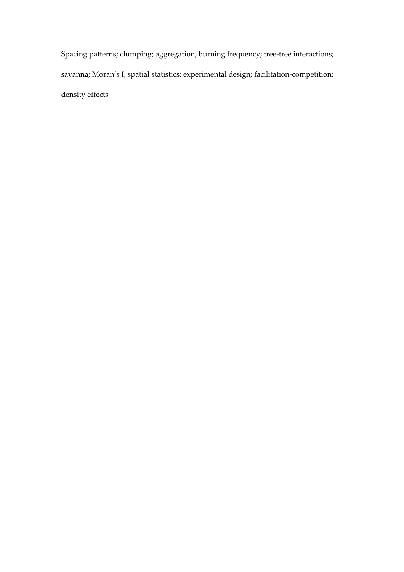Spacing patterns; clumping; aggregation; burning frequency; tree-tree interactions; savanna; Moran's I; spatial statistics; experimental design; facilitation-competition; density effects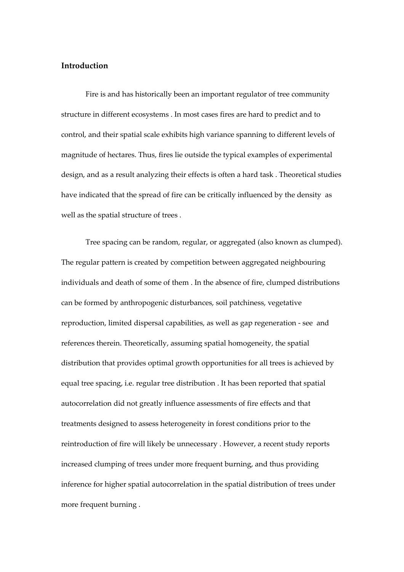## **Introduction**

Fire is and has historically been an important regulator of tree community structure in different ecosystems . In most cases fires are hard to predict and to control, and their spatial scale exhibits high variance spanning to different levels of magnitude of hectares. Thus, fires lie outside the typical examples of experimental design, and as a result analyzing their effects is often a hard task . Theoretical studies have indicated that the spread of fire can be critically influenced by the density as well as the spatial structure of trees .

Tree spacing can be random, regular, or aggregated (also known as clumped). The regular pattern is created by competition between aggregated neighbouring individuals and death of some of them . In the absence of fire, clumped distributions can be formed by anthropogenic disturbances, soil patchiness, vegetative reproduction, limited dispersal capabilities, as well as gap regeneration - see and references therein. Theoretically, assuming spatial homogeneity, the spatial distribution that provides optimal growth opportunities for all trees is achieved by equal tree spacing, i.e. regular tree distribution . It has been reported that spatial autocorrelation did not greatly influence assessments of fire effects and that treatments designed to assess heterogeneity in forest conditions prior to the reintroduction of fire will likely be unnecessary . However, a recent study reports increased clumping of trees under more frequent burning, and thus providing inference for higher spatial autocorrelation in the spatial distribution of trees under more frequent burning .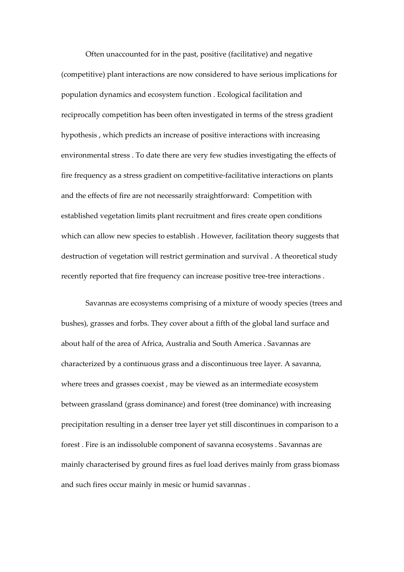Often unaccounted for in the past, positive (facilitative) and negative (competitive) plant interactions are now considered to have serious implications for population dynamics and ecosystem function . Ecological facilitation and reciprocally competition has been often investigated in terms of the stress gradient hypothesis , which predicts an increase of positive interactions with increasing environmental stress . To date there are very few studies investigating the effects of fire frequency as a stress gradient on competitive-facilitative interactions on plants and the effects of fire are not necessarily straightforward: Competition with established vegetation limits plant recruitment and fires create open conditions which can allow new species to establish . However, facilitation theory suggests that destruction of vegetation will restrict germination and survival . A theoretical study recently reported that fire frequency can increase positive tree-tree interactions .

Savannas are ecosystems comprising of a mixture of woody species (trees and bushes), grasses and forbs. They cover about a fifth of the global land surface and about half of the area of Africa, Australia and South America . Savannas are characterized by a continuous grass and a discontinuous tree layer. A savanna, where trees and grasses coexist , may be viewed as an intermediate ecosystem between grassland (grass dominance) and forest (tree dominance) with increasing precipitation resulting in a denser tree layer yet still discontinues in comparison to a forest . Fire is an indissoluble component of savanna ecosystems . Savannas are mainly characterised by ground fires as fuel load derives mainly from grass biomass and such fires occur mainly in mesic or humid savannas .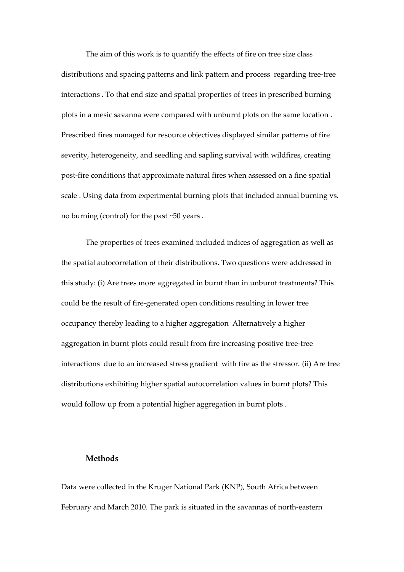The aim of this work is to quantify the effects of fire on tree size class distributions and spacing patterns and link pattern and process regarding tree-tree interactions . To that end size and spatial properties of trees in prescribed burning plots in a mesic savanna were compared with unburnt plots on the same location . Prescribed fires managed for resource objectives displayed similar patterns of fire severity, heterogeneity, and seedling and sapling survival with wildfires, creating post-fire conditions that approximate natural fires when assessed on a fine spatial scale . Using data from experimental burning plots that included annual burning vs. no burning (control) for the past ~50 years .

The properties of trees examined included indices of aggregation as well as the spatial autocorrelation of their distributions. Two questions were addressed in this study: (i) Are trees more aggregated in burnt than in unburnt treatments? This could be the result of fire-generated open conditions resulting in lower tree occupancy thereby leading to a higher aggregation Alternatively a higher aggregation in burnt plots could result from fire increasing positive tree-tree interactions due to an increased stress gradient with fire as the stressor. (ii) Are tree distributions exhibiting higher spatial autocorrelation values in burnt plots? This would follow up from a potential higher aggregation in burnt plots .

## **Methods**

Data were collected in the Kruger National Park (KNP), South Africa between February and March 2010. The park is situated in the savannas of north-eastern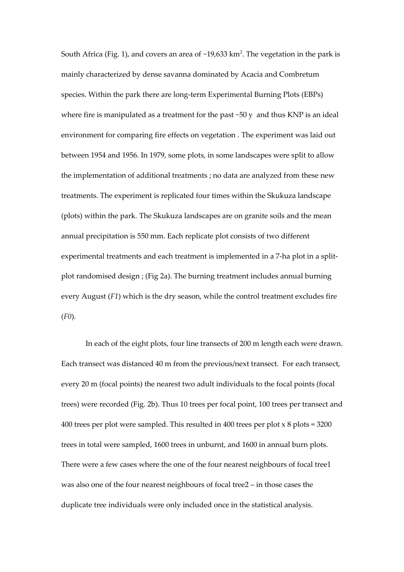South Africa (Fig. 1), and covers an area of ~19,633 km<sup>2</sup>. The vegetation in the park is mainly characterized by dense savanna dominated by Acacia and Combretum species. Within the park there are long-term Experimental Burning Plots (EBPs) where fire is manipulated as a treatment for the past ~50 y and thus KNP is an ideal environment for comparing fire effects on vegetation . The experiment was laid out between 1954 and 1956. In 1979, some plots, in some landscapes were split to allow the implementation of additional treatments ; no data are analyzed from these new treatments. The experiment is replicated four times within the Skukuza landscape (plots) within the park. The Skukuza landscapes are on granite soils and the mean annual precipitation is 550 mm. Each replicate plot consists of two different experimental treatments and each treatment is implemented in a 7-ha plot in a splitplot randomised design ; (Fig 2a). The burning treatment includes annual burning every August (*F1*) which is the dry season, while the control treatment excludes fire (*F0*).

In each of the eight plots, four line transects of 200 m length each were drawn. Each transect was distanced 40 m from the previous/next transect. For each transect, every 20 m (focal points) the nearest two adult individuals to the focal points (focal trees) were recorded (Fig. 2b). Thus 10 trees per focal point, 100 trees per transect and 400 trees per plot were sampled. This resulted in 400 trees per plot x 8 plots = 3200 trees in total were sampled, 1600 trees in unburnt, and 1600 in annual burn plots. There were a few cases where the one of the four nearest neighbours of focal tree1 was also one of the four nearest neighbours of focal tree2 – in those cases the duplicate tree individuals were only included once in the statistical analysis.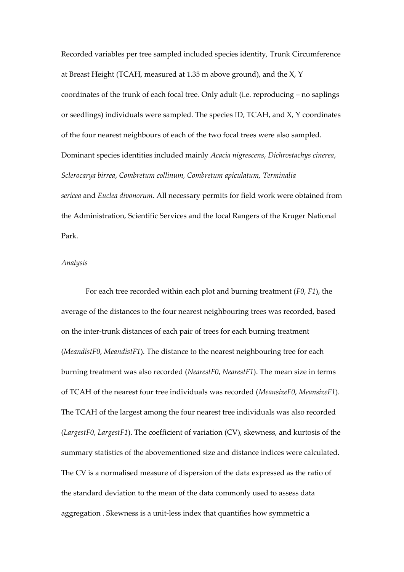Recorded variables per tree sampled included species identity, Trunk Circumference at Breast Height (TCAH, measured at 1.35 m above ground), and the X, Y coordinates of the trunk of each focal tree. Only adult (i.e. reproducing – no saplings or seedlings) individuals were sampled. The species ID, TCAH, and X, Y coordinates of the four nearest neighbours of each of the two focal trees were also sampled. Dominant species identities included mainly *Acacia nigrescens*, *Dichrostachys cinerea*, *Sclerocarya birrea*, *Combretum collinum, Combretum apiculatum, Terminalia sericea* and *Euclea divonorum*. All necessary permits for field work were obtained from the Administration, Scientific Services and the local Rangers of the Kruger National Park.

#### *Analysis*

For each tree recorded within each plot and burning treatment (*F0*, *F1*), the average of the distances to the four nearest neighbouring trees was recorded, based on the inter-trunk distances of each pair of trees for each burning treatment (*MeandistF0*, *MeandistF1*). The distance to the nearest neighbouring tree for each burning treatment was also recorded (*NearestF0*, *NearestF1*). The mean size in terms of TCAH of the nearest four tree individuals was recorded (*MeansizeF0*, *MeansizeF1*). The TCAH of the largest among the four nearest tree individuals was also recorded (*LargestF0*, *LargestF1*). The coefficient of variation (CV), skewness, and kurtosis of the summary statistics of the abovementioned size and distance indices were calculated. The CV is a normalised measure of dispersion of the data expressed as the ratio of the standard deviation to the mean of the data commonly used to assess data aggregation . Skewness is a unit-less index that quantifies how symmetric a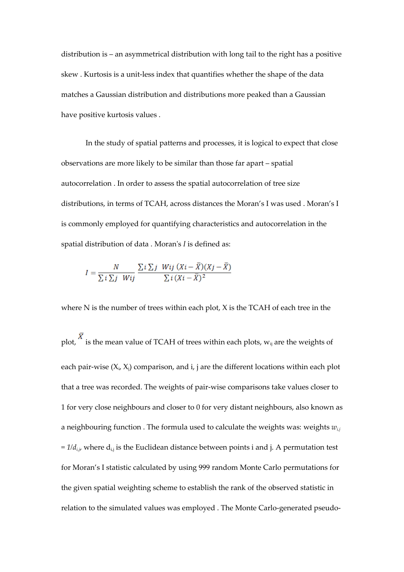distribution is – an asymmetrical distribution with long tail to the right has a positive skew . Kurtosis is a unit-less index that quantifies whether the shape of the data matches a Gaussian distribution and distributions more peaked than a Gaussian have positive kurtosis values .

In the study of spatial patterns and processes, it is logical to expect that close observations are more likely to be similar than those far apart – spatial autocorrelation . In order to assess the spatial autocorrelation of tree size distributions, in terms of TCAH, across distances the Moran's I was used . Moran's I is commonly employed for quantifying characteristics and autocorrelation in the spatial distribution of data . Moran's *I* is defined as:

$$
I = \frac{N}{\sum i \sum j \; Wij} \; \frac{\sum i \sum j \; Wij \; (Xi - \overline{X})(Xj - \overline{X})}{\sum i \; (Xi - \overline{X})^2}
$$

where N is the number of trees within each plot, X is the TCAH of each tree in the

plot,  $\overline{X}$  is the mean value of TCAH of trees within each plots,  $w_{ij}$  are the weights of each pair-wise  $(X_i, X_j)$  comparison, and i, j are the different locations within each plot that a tree was recorded. The weights of pair-wise comparisons take values closer to 1 for very close neighbours and closer to 0 for very distant neighbours, also known as a neighbouring function . The formula used to calculate the weights was: weights *wi,j*  $= 1/d_{i,j}$ , where  $d_{i,j}$  is the Euclidean distance between points i and j. A permutation test for Moran's I statistic calculated by using 999 random Monte Carlo permutations for the given spatial weighting scheme to establish the rank of the observed statistic in relation to the simulated values was employed . The Monte Carlo-generated pseudo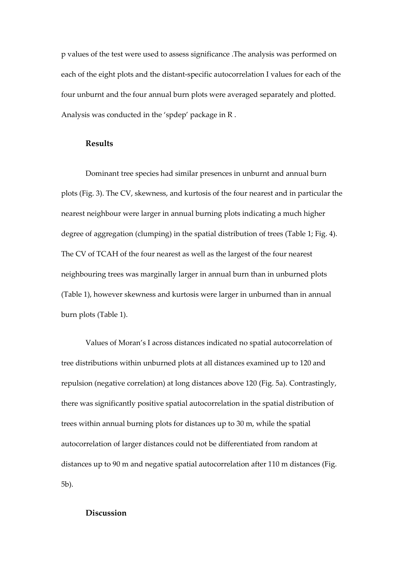p values of the test were used to assess significance .The analysis was performed on each of the eight plots and the distant-specific autocorrelation I values for each of the four unburnt and the four annual burn plots were averaged separately and plotted. Analysis was conducted in the 'spdep' package in R .

#### **Results**

Dominant tree species had similar presences in unburnt and annual burn plots (Fig. 3). The CV, skewness, and kurtosis of the four nearest and in particular the nearest neighbour were larger in annual burning plots indicating a much higher degree of aggregation (clumping) in the spatial distribution of trees (Table 1; Fig. 4). The CV of TCAH of the four nearest as well as the largest of the four nearest neighbouring trees was marginally larger in annual burn than in unburned plots (Table 1), however skewness and kurtosis were larger in unburned than in annual burn plots (Table 1).

Values of Moran's I across distances indicated no spatial autocorrelation of tree distributions within unburned plots at all distances examined up to 120 and repulsion (negative correlation) at long distances above 120 (Fig. 5a). Contrastingly, there was significantly positive spatial autocorrelation in the spatial distribution of trees within annual burning plots for distances up to 30 m, while the spatial autocorrelation of larger distances could not be differentiated from random at distances up to 90 m and negative spatial autocorrelation after 110 m distances (Fig. 5b).

## **Discussion**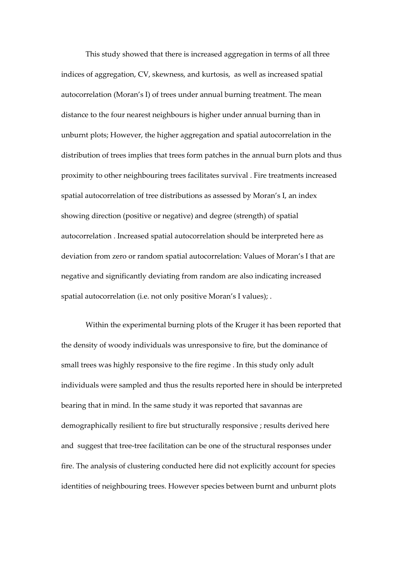This study showed that there is increased aggregation in terms of all three indices of aggregation, CV, skewness, and kurtosis, as well as increased spatial autocorrelation (Moran's I) of trees under annual burning treatment. The mean distance to the four nearest neighbours is higher under annual burning than in unburnt plots; However, the higher aggregation and spatial autocorrelation in the distribution of trees implies that trees form patches in the annual burn plots and thus proximity to other neighbouring trees facilitates survival . Fire treatments increased spatial autocorrelation of tree distributions as assessed by Moran's I, an index showing direction (positive or negative) and degree (strength) of spatial autocorrelation . Increased spatial autocorrelation should be interpreted here as deviation from zero or random spatial autocorrelation: Values of Moran's I that are negative and significantly deviating from random are also indicating increased spatial autocorrelation (i.e. not only positive Moran's I values); .

Within the experimental burning plots of the Kruger it has been reported that the density of woody individuals was unresponsive to fire, but the dominance of small trees was highly responsive to the fire regime . In this study only adult individuals were sampled and thus the results reported here in should be interpreted bearing that in mind. In the same study it was reported that savannas are demographically resilient to fire but structurally responsive ; results derived here and suggest that tree-tree facilitation can be one of the structural responses under fire. The analysis of clustering conducted here did not explicitly account for species identities of neighbouring trees. However species between burnt and unburnt plots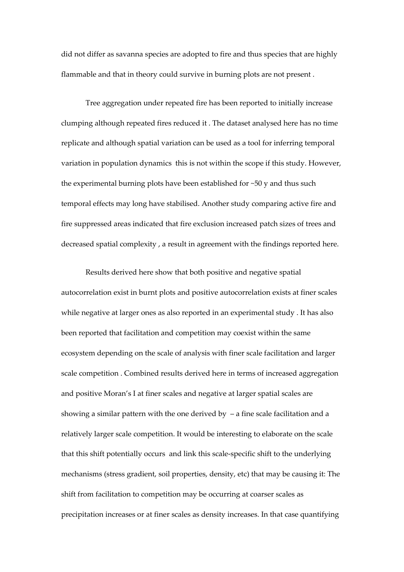did not differ as savanna species are adopted to fire and thus species that are highly flammable and that in theory could survive in burning plots are not present .

Tree aggregation under repeated fire has been reported to initially increase clumping although repeated fires reduced it . The dataset analysed here has no time replicate and although spatial variation can be used as a tool for inferring temporal variation in population dynamics this is not within the scope if this study. However, the experimental burning plots have been established for ~50 y and thus such temporal effects may long have stabilised. Another study comparing active fire and fire suppressed areas indicated that fire exclusion increased patch sizes of trees and decreased spatial complexity , a result in agreement with the findings reported here.

Results derived here show that both positive and negative spatial autocorrelation exist in burnt plots and positive autocorrelation exists at finer scales while negative at larger ones as also reported in an experimental study . It has also been reported that facilitation and competition may coexist within the same ecosystem depending on the scale of analysis with finer scale facilitation and larger scale competition . Combined results derived here in terms of increased aggregation and positive Moran's I at finer scales and negative at larger spatial scales are showing a similar pattern with the one derived by  $-$  a fine scale facilitation and a relatively larger scale competition. It would be interesting to elaborate on the scale that this shift potentially occurs and link this scale-specific shift to the underlying mechanisms (stress gradient, soil properties, density, etc) that may be causing it: The shift from facilitation to competition may be occurring at coarser scales as precipitation increases or at finer scales as density increases. In that case quantifying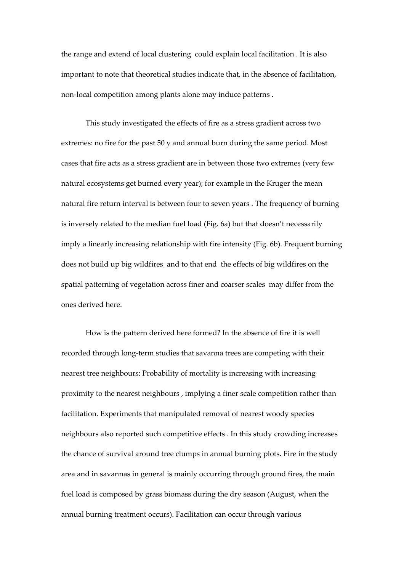the range and extend of local clustering could explain local facilitation . It is also important to note that theoretical studies indicate that, in the absence of facilitation, non-local competition among plants alone may induce patterns .

This study investigated the effects of fire as a stress gradient across two extremes: no fire for the past 50 y and annual burn during the same period. Most cases that fire acts as a stress gradient are in between those two extremes (very few natural ecosystems get burned every year); for example in the Kruger the mean natural fire return interval is between four to seven years . The frequency of burning is inversely related to the median fuel load (Fig. 6a) but that doesn't necessarily imply a linearly increasing relationship with fire intensity (Fig. 6b). Frequent burning does not build up big wildfires and to that end the effects of big wildfires on the spatial patterning of vegetation across finer and coarser scales may differ from the ones derived here.

How is the pattern derived here formed? In the absence of fire it is well recorded through long-term studies that savanna trees are competing with their nearest tree neighbours: Probability of mortality is increasing with increasing proximity to the nearest neighbours , implying a finer scale competition rather than facilitation. Experiments that manipulated removal of nearest woody species neighbours also reported such competitive effects . In this study crowding increases the chance of survival around tree clumps in annual burning plots. Fire in the study area and in savannas in general is mainly occurring through ground fires, the main fuel load is composed by grass biomass during the dry season (August, when the annual burning treatment occurs). Facilitation can occur through various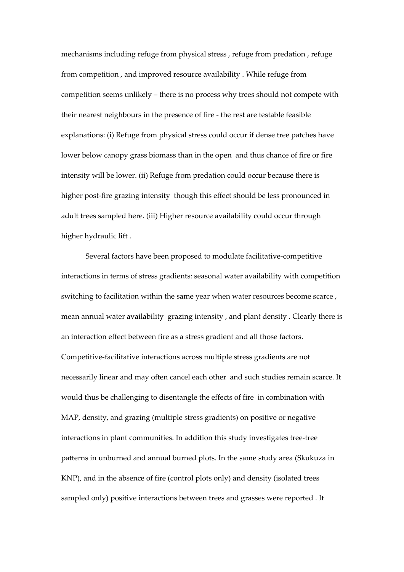mechanisms including refuge from physical stress , refuge from predation , refuge from competition , and improved resource availability . While refuge from competition seems unlikely – there is no process why trees should not compete with their nearest neighbours in the presence of fire - the rest are testable feasible explanations: (i) Refuge from physical stress could occur if dense tree patches have lower below canopy grass biomass than in the open and thus chance of fire or fire intensity will be lower. (ii) Refuge from predation could occur because there is higher post-fire grazing intensity though this effect should be less pronounced in adult trees sampled here. (iii) Higher resource availability could occur through higher hydraulic lift .

Several factors have been proposed to modulate facilitative-competitive interactions in terms of stress gradients: seasonal water availability with competition switching to facilitation within the same year when water resources become scarce , mean annual water availability grazing intensity , and plant density . Clearly there is an interaction effect between fire as a stress gradient and all those factors. Competitive-facilitative interactions across multiple stress gradients are not necessarily linear and may often cancel each other and such studies remain scarce. It would thus be challenging to disentangle the effects of fire in combination with MAP, density, and grazing (multiple stress gradients) on positive or negative interactions in plant communities. In addition this study investigates tree-tree patterns in unburned and annual burned plots. In the same study area (Skukuza in KNP), and in the absence of fire (control plots only) and density (isolated trees sampled only) positive interactions between trees and grasses were reported . It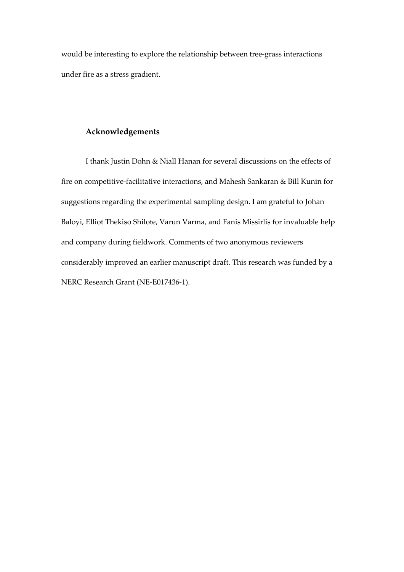would be interesting to explore the relationship between tree-grass interactions under fire as a stress gradient.

## **Acknowledgements**

I thank Justin Dohn & Niall Hanan for several discussions on the effects of fire on competitive-facilitative interactions, and Mahesh Sankaran & Bill Kunin for suggestions regarding the experimental sampling design. I am grateful to Johan Baloyi, Elliot Thekiso Shilote, Varun Varma, and Fanis Missirlis for invaluable help and company during fieldwork. Comments of two anonymous reviewers considerably improved an earlier manuscript draft. This research was funded by a NERC Research Grant (NE-E017436-1).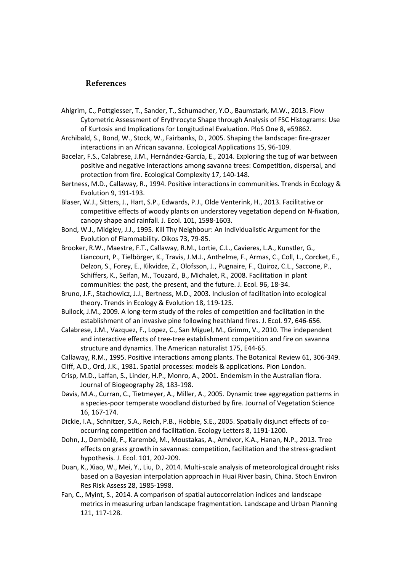#### **References**

- Ahlgrim, C., Pottgiesser, T., Sander, T., Schumacher, Y.O., Baumstark, M.W., 2013. Flow Cytometric Assessment of Erythrocyte Shape through Analysis of FSC Histograms: Use of Kurtosis and Implications for Longitudinal Evaluation. PloS One 8, e59862.
- Archibald, S., Bond, W., Stock, W., Fairbanks, D., 2005. Shaping the landscape: fire-grazer interactions in an African savanna. Ecological Applications 15, 96-109.
- Bacelar, F.S., Calabrese, J.M., Hernández-García, E., 2014. Exploring the tug of war between positive and negative interactions among savanna trees: Competition, dispersal, and protection from fire. Ecological Complexity 17, 140-148.
- Bertness, M.D., Callaway, R., 1994. Positive interactions in communities. Trends in Ecology & Evolution 9, 191-193.
- Blaser, W.J., Sitters, J., Hart, S.P., Edwards, P.J., Olde Venterink, H., 2013. Facilitative or competitive effects of woody plants on understorey vegetation depend on N-fixation, canopy shape and rainfall. J. Ecol. 101, 1598-1603.
- Bond, W.J., Midgley, J.J., 1995. Kill Thy Neighbour: An Individualistic Argument for the Evolution of Flammability. Oikos 73, 79-85.
- Brooker, R.W., Maestre, F.T., Callaway, R.M., Lortie, C.L., Cavieres, L.A., Kunstler, G., Liancourt, P., Tielbörger, K., Travis, J.M.J., Anthelme, F., Armas, C., Coll, L., Corcket, E., Delzon, S., Forey, E., Kikvidze, Z., Olofsson, J., Pugnaire, F., Quiroz, C.L., Saccone, P., Schiffers, K., Seifan, M., Touzard, B., Michalet, R., 2008. Facilitation in plant communities: the past, the present, and the future. J. Ecol. 96, 18-34.
- Bruno, J.F., Stachowicz, J.J., Bertness, M.D., 2003. Inclusion of facilitation into ecological theory. Trends in Ecology & Evolution 18, 119-125.
- Bullock, J.M., 2009. A long-term study of the roles of competition and facilitation in the establishment of an invasive pine following heathland fires. J. Ecol. 97, 646-656.
- Calabrese, J.M., Vazquez, F., Lopez, C., San Miguel, M., Grimm, V., 2010. The independent and interactive effects of tree-tree establishment competition and fire on savanna structure and dynamics. The American naturalist 175, E44-65.
- Callaway, R.M., 1995. Positive interactions among plants. The Botanical Review 61, 306-349.
- Cliff, A.D., Ord, J.K., 1981. Spatial processes: models & applications. Pion London.
- Crisp, M.D., Laffan, S., Linder, H.P., Monro, A., 2001. Endemism in the Australian flora. Journal of Biogeography 28, 183-198.
- Davis, M.A., Curran, C., Tietmeyer, A., Miller, A., 2005. Dynamic tree aggregation patterns in a species-poor temperate woodland disturbed by fire. Journal of Vegetation Science 16, 167-174.
- Dickie, I.A., Schnitzer, S.A., Reich, P.B., Hobbie, S.E., 2005. Spatially disjunct effects of cooccurring competition and facilitation. Ecology Letters 8, 1191-1200.
- Dohn, J., Dembélé, F., Karembé, M., Moustakas, A., Amévor, K.A., Hanan, N.P., 2013. Tree effects on grass growth in savannas: competition, facilitation and the stress-gradient hypothesis. J. Ecol. 101, 202-209.
- Duan, K., Xiao, W., Mei, Y., Liu, D., 2014. Multi-scale analysis of meteorological drought risks based on a Bayesian interpolation approach in Huai River basin, China. Stoch Environ Res Risk Assess 28, 1985-1998.
- Fan, C., Myint, S., 2014. A comparison of spatial autocorrelation indices and landscape metrics in measuring urban landscape fragmentation. Landscape and Urban Planning 121, 117-128.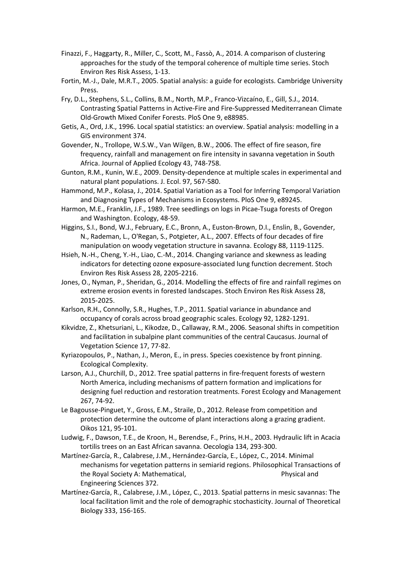- Finazzi, F., Haggarty, R., Miller, C., Scott, M., Fassò, A., 2014. A comparison of clustering approaches for the study of the temporal coherence of multiple time series. Stoch Environ Res Risk Assess, 1-13.
- Fortin, M.-J., Dale, M.R.T., 2005. Spatial analysis: a guide for ecologists. Cambridge University Press.
- Fry, D.L., Stephens, S.L., Collins, B.M., North, M.P., Franco-Vizcaíno, E., Gill, S.J., 2014. Contrasting Spatial Patterns in Active-Fire and Fire-Suppressed Mediterranean Climate Old-Growth Mixed Conifer Forests. PloS One 9, e88985.
- Getis, A., Ord, J.K., 1996. Local spatial statistics: an overview. Spatial analysis: modelling in a GIS environment 374.
- Govender, N., Trollope, W.S.W., Van Wilgen, B.W., 2006. The effect of fire season, fire frequency, rainfall and management on fire intensity in savanna vegetation in South Africa. Journal of Applied Ecology 43, 748-758.
- Gunton, R.M., Kunin, W.E., 2009. Density‐dependence at multiple scales in experimental and natural plant populations. J. Ecol. 97, 567-580.
- Hammond, M.P., Kolasa, J., 2014. Spatial Variation as a Tool for Inferring Temporal Variation and Diagnosing Types of Mechanisms in Ecosystems. PloS One 9, e89245.
- Harmon, M.E., Franklin, J.F., 1989. Tree seedlings on logs in Picae-Tsuga forests of Oregon and Washington. Ecology, 48-59.
- Higgins, S.I., Bond, W.J., February, E.C., Bronn, A., Euston-Brown, D.I., Enslin, B., Govender, N., Rademan, L., O'Regan, S., Potgieter, A.L., 2007. Effects of four decades of fire manipulation on woody vegetation structure in savanna. Ecology 88, 1119-1125.
- Hsieh, N.-H., Cheng, Y.-H., Liao, C.-M., 2014. Changing variance and skewness as leading indicators for detecting ozone exposure-associated lung function decrement. Stoch Environ Res Risk Assess 28, 2205-2216.
- Jones, O., Nyman, P., Sheridan, G., 2014. Modelling the effects of fire and rainfall regimes on extreme erosion events in forested landscapes. Stoch Environ Res Risk Assess 28, 2015-2025.
- Karlson, R.H., Connolly, S.R., Hughes, T.P., 2011. Spatial variance in abundance and occupancy of corals across broad geographic scales. Ecology 92, 1282-1291.
- Kikvidze, Z., Khetsuriani, L., Kikodze, D., Callaway, R.M., 2006. Seasonal shifts in competition and facilitation in subalpine plant communities of the central Caucasus. Journal of Vegetation Science 17, 77-82.
- Kyriazopoulos, P., Nathan, J., Meron, E., in press. Species coexistence by front pinning. Ecological Complexity.
- Larson, A.J., Churchill, D., 2012. Tree spatial patterns in fire-frequent forests of western North America, including mechanisms of pattern formation and implications for designing fuel reduction and restoration treatments. Forest Ecology and Management 267, 74-92.
- Le Bagousse-Pinguet, Y., Gross, E.M., Straile, D., 2012. Release from competition and protection determine the outcome of plant interactions along a grazing gradient. Oikos 121, 95-101.
- Ludwig, F., Dawson, T.E., de Kroon, H., Berendse, F., Prins, H.H., 2003. Hydraulic lift in Acacia tortilis trees on an East African savanna. Oecologia 134, 293-300.
- Martínez-García, R., Calabrese, J.M., Hernández-García, E., López, C., 2014. Minimal mechanisms for vegetation patterns in semiarid regions. Philosophical Transactions of the Royal Society A: Mathematical, The Royal Society A: Mathematical, Physical and Engineering Sciences 372.
- Martínez-García, R., Calabrese, J.M., López, C., 2013. Spatial patterns in mesic savannas: The local facilitation limit and the role of demographic stochasticity. Journal of Theoretical Biology 333, 156-165.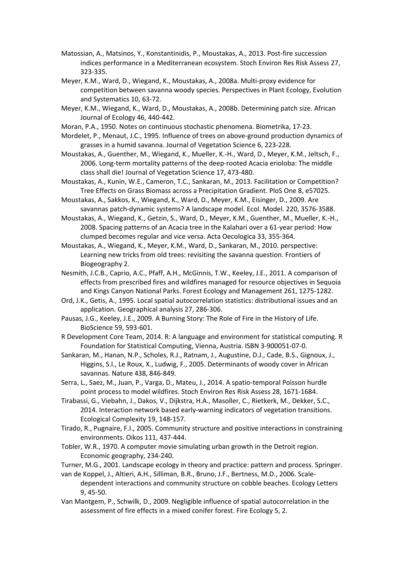- Matossian, A., Matsinos, Y., Konstantinidis, P., Moustakas, A., 2013. Post-fire succession indices performance in a Mediterranean ecosystem. Stoch Environ Res Risk Assess 27, 323-335.
- Meyer, K.M., Ward, D., Wiegand, K., Moustakas, A., 2008a. Multi-proxy evidence for competition between savanna woody species. Perspectives in Plant Ecology, Evolution and Systematics 10, 63-72.
- Meyer, K.M., Wiegand, K., Ward, D., Moustakas, A., 2008b. Determining patch size. African Journal of Ecology 46, 440-442.
- Moran, P.A., 1950. Notes on continuous stochastic phenomena. Biometrika, 17-23.
- Mordelet, P., Menaut, J.C., 1995. Influence of trees on above‐ground production dynamics of grasses in a humid savanna. Journal of Vegetation Science 6, 223-228.
- Moustakas, A., Guenther, M., Wiegand, K., Mueller, K.-H., Ward, D., Meyer, K.M., Jeltsch, F., 2006. Long-term mortality patterns of the deep-rooted Acacia erioloba: The middle class shall die! Journal of Vegetation Science 17, 473-480.
- Moustakas, A., Kunin, W.E., Cameron, T.C., Sankaran, M., 2013. Facilitation or Competition? Tree Effects on Grass Biomass across a Precipitation Gradient. PloS One 8, e57025.
- Moustakas, A., Sakkos, K., Wiegand, K., Ward, D., Meyer, K.M., Eisinger, D., 2009. Are savannas patch-dynamic systems? A landscape model. Ecol. Model. 220, 3576-3588.
- Moustakas, A., Wiegand, K., Getzin, S., Ward, D., Meyer, K.M., Guenther, M., Mueller, K.-H., 2008. Spacing patterns of an Acacia tree in the Kalahari over a 61-year period: How clumped becomes regular and vice versa. Acta Oecologica 33, 355-364.
- Moustakas, A., Wiegand, K., Meyer, K.M., Ward, D., Sankaran, M., 2010. perspective: Learning new tricks from old trees: revisiting the savanna question. Frontiers of Biogeography 2.
- Nesmith, J.C.B., Caprio, A.C., Pfaff, A.H., McGinnis, T.W., Keeley, J.E., 2011. A comparison of effects from prescribed fires and wildfires managed for resource objectives in Sequoia and Kings Canyon National Parks. Forest Ecology and Management 261, 1275-1282.
- Ord, J.K., Getis, A., 1995. Local spatial autocorrelation statistics: distributional issues and an application. Geographical analysis 27, 286-306.
- Pausas, J.G., Keeley, J.E., 2009. A Burning Story: The Role of Fire in the History of Life. BioScience 59, 593-601.
- R Development Core Team, 2014. R: A language and environment for statistical computing. R Foundation for Statistical Computing, Vienna, Austria. ISBN 3-900051-07-0.
- Sankaran, M., Hanan, N.P., Scholes, R.J., Ratnam, J., Augustine, D.J., Cade, B.S., Gignoux, J., Higgins, S.I., Le Roux, X., Ludwig, F., 2005. Determinants of woody cover in African savannas. Nature 438, 846-849.
- Serra, L., Saez, M., Juan, P., Varga, D., Mateu, J., 2014. A spatio-temporal Poisson hurdle point process to model wildfires. Stoch Environ Res Risk Assess 28, 1671-1684.
- Tirabassi, G., Viebahn, J., Dakos, V., Dijkstra, H.A., Masoller, C., Rietkerk, M., Dekker, S.C., 2014. Interaction network based early-warning indicators of vegetation transitions. Ecological Complexity 19, 148-157.
- Tirado, R., Pugnaire, F.I., 2005. Community structure and positive interactions in constraining environments. Oikos 111, 437-444.
- Tobler, W.R., 1970. A computer movie simulating urban growth in the Detroit region. Economic geography, 234-240.
- Turner, M.G., 2001. Landscape ecology in theory and practice: pattern and process. Springer.
- van de Koppel, J., Altieri, A.H., Silliman, B.R., Bruno, J.F., Bertness, M.D., 2006. Scaledependent interactions and community structure on cobble beaches. Ecology Letters 9, 45-50.
- Van Mantgem, P., Schwilk, D., 2009. Negligible influence of spatial autocorrelation in the assessment of fire effects in a mixed conifer forest. Fire Ecology 5, 2.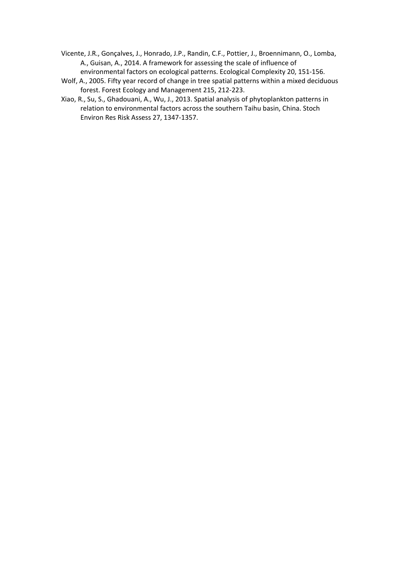- Vicente, J.R., Gonçalves, J., Honrado, J.P., Randin, C.F., Pottier, J., Broennimann, O., Lomba, A., Guisan, A., 2014. A framework for assessing the scale of influence of environmental factors on ecological patterns. Ecological Complexity 20, 151-156.
- Wolf, A., 2005. Fifty year record of change in tree spatial patterns within a mixed deciduous forest. Forest Ecology and Management 215, 212-223.
- Xiao, R., Su, S., Ghadouani, A., Wu, J., 2013. Spatial analysis of phytoplankton patterns in relation to environmental factors across the southern Taihu basin, China. Stoch Environ Res Risk Assess 27, 1347-1357.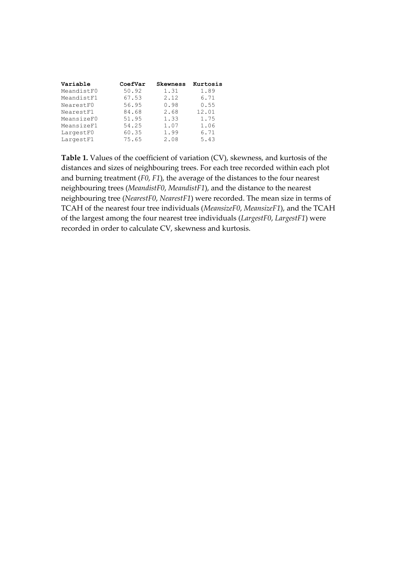| Variable   | CoefVar | <b>Skewness</b> | Kurtosis |
|------------|---------|-----------------|----------|
| MeandistF0 | 50.92   | 1.31            | 1.89     |
| MeandistF1 | 67.53   | 2.12            | 6.71     |
| NearestF0  | 56.95   | 0.98            | 0.55     |
| NearestF1  | 84.68   | 2.68            | 12.01    |
| MeansizeF0 | 51.95   | 1.33            | 1.75     |
| MeansizeF1 | 54.25   | 1.07            | 1.06     |
| LargestF0  | 60.35   | 1.99            | 6.71     |
| LargestF1  | 75.65   | 2.08            | 5.43     |

**Table 1.** Values of the coefficient of variation (CV), skewness, and kurtosis of the distances and sizes of neighbouring trees. For each tree recorded within each plot and burning treatment (*F0*, *F1*), the average of the distances to the four nearest neighbouring trees (*MeandistF0*, *MeandistF1*), and the distance to the nearest neighbouring tree (*NearestF0*, *NearestF1*) were recorded. The mean size in terms of TCAH of the nearest four tree individuals (*MeansizeF0*, *MeansizeF1*), and the TCAH of the largest among the four nearest tree individuals (*LargestF0*, *LargestF1*) were recorded in order to calculate CV, skewness and kurtosis.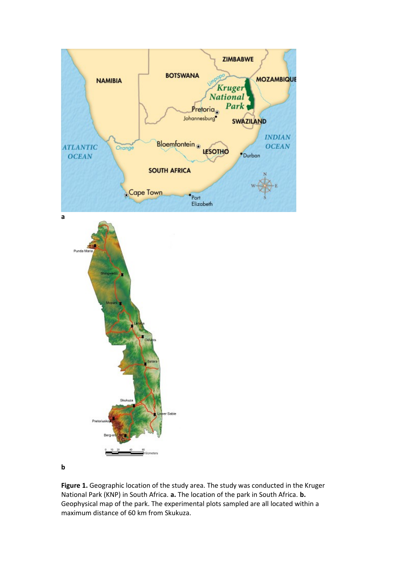

**b**

**Figure 1.** Geographic location of the study area. The study was conducted in the Kruger National Park (KNP) in South Africa. **a.** The location of the park in South Africa. **b.** Geophysical map of the park. The experimental plots sampled are all located within a maximum distance of 60 km from Skukuza.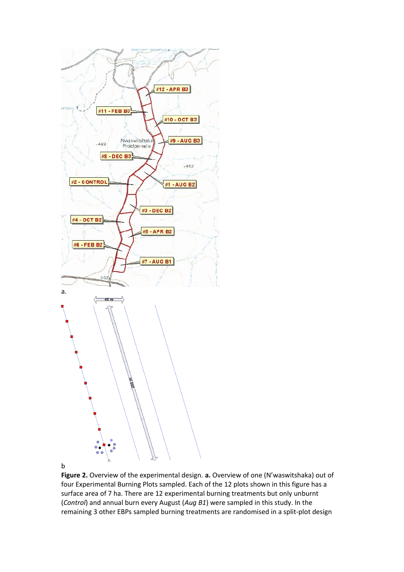

b

**Figure 2.** Overview of the experimental design. **a.** Overview of one (N'waswitshaka) out of four Experimental Burning Plots sampled. Each of the 12 plots shown in this figure has a surface area of 7 ha. There are 12 experimental burning treatments but only unburnt (*Control*) and annual burn every August (*Aug B1*) were sampled in this study. In the remaining 3 other EBPs sampled burning treatments are randomised in a split-plot design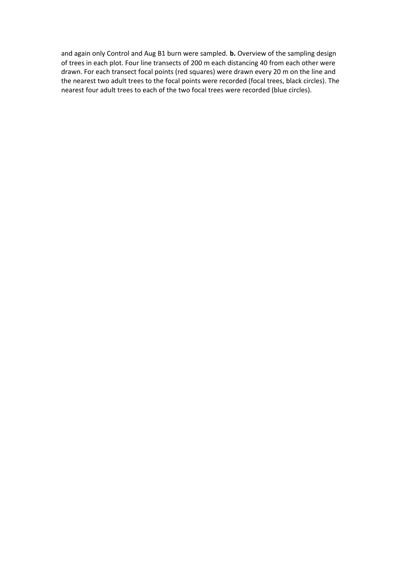and again only Control and Aug B1 burn were sampled. **b.** Overview of the sampling design of trees in each plot. Four line transects of 200 m each distancing 40 from each other were drawn. For each transect focal points (red squares) were drawn every 20 m on the line and the nearest two adult trees to the focal points were recorded (focal trees, black circles). The nearest four adult trees to each of the two focal trees were recorded (blue circles).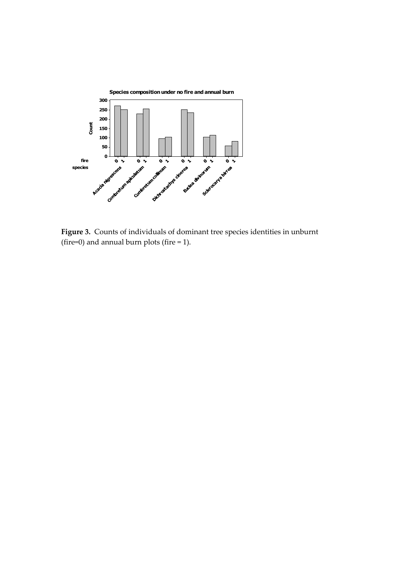

**Figure 3.** Counts of individuals of dominant tree species identities in unburnt (fire=0) and annual burn plots (fire  $= 1$ ).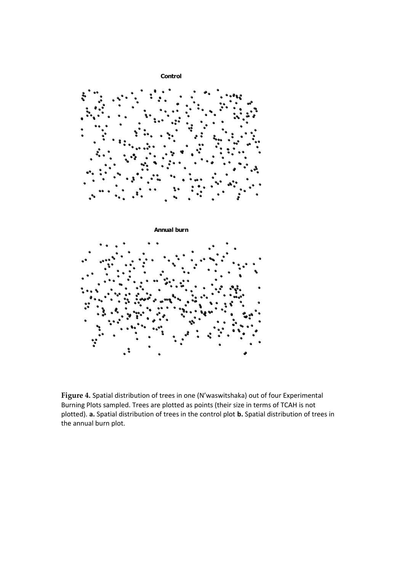

**Figure 4.** Spatial distribution of trees in one (N'waswitshaka) out of four Experimental Burning Plots sampled. Trees are plotted as points (their size in terms of TCAH is not plotted). **a.** Spatial distribution of trees in the control plot **b.** Spatial distribution of trees in the annual burn plot.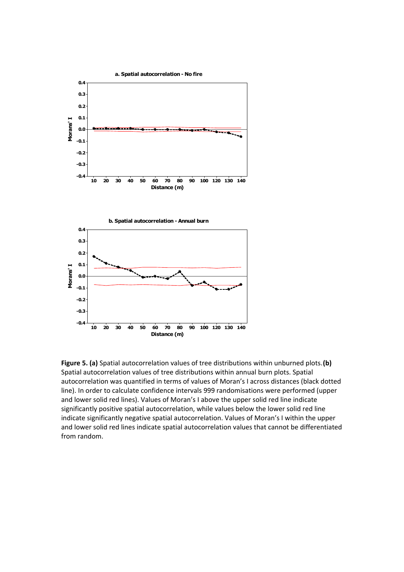